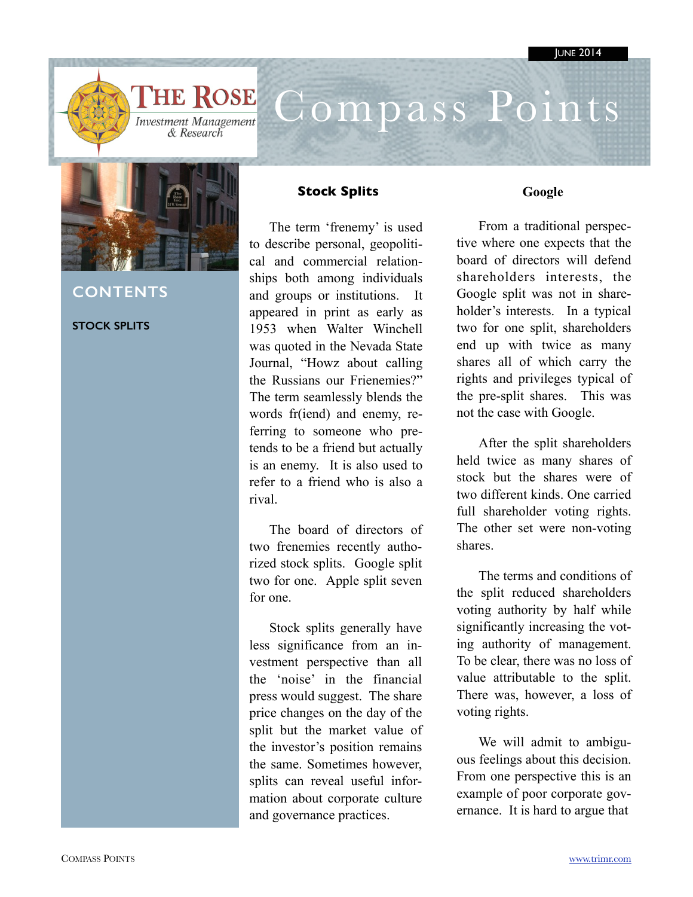

# Compass Points



## **CONTENTS**

### **STOCK SPLITS**

### **Stock Splits**

The term 'frenemy' is used to describe personal, geopolitical and commercial relationships both among individuals and groups or institutions. It appeared in print as early as 1953 when Walter Winchell was quoted in the Nevada State Journal, "Howz about calling the Russians our Frienemies?" The term seamlessly blends the words fr(iend) and enemy, referring to someone who pretends to be a friend but actually is an enemy. It is also used to refer to a friend who is also a rival.

The board of directors of two frenemies recently authorized stock splits. Google split two for one. Apple split seven for one.

Stock splits generally have less significance from an investment perspective than all the 'noise' in the financial press would suggest. The share price changes on the day of the split but the market value of the investor's position remains the same. Sometimes however, splits can reveal useful information about corporate culture and governance practices.

### **Google**

From a traditional perspective where one expects that the board of directors will defend shareholders interests, the Google split was not in shareholder's interests. In a typical two for one split, shareholders end up with twice as many shares all of which carry the rights and privileges typical of the pre-split shares. This was not the case with Google.

After the split shareholders held twice as many shares of stock but the shares were of two different kinds. One carried full shareholder voting rights. The other set were non-voting shares.

The terms and conditions of the split reduced shareholders voting authority by half while significantly increasing the voting authority of management. To be clear, there was no loss of value attributable to the split. There was, however, a loss of voting rights.

We will admit to ambiguous feelings about this decision. From one perspective this is an example of poor corporate governance. It is hard to argue that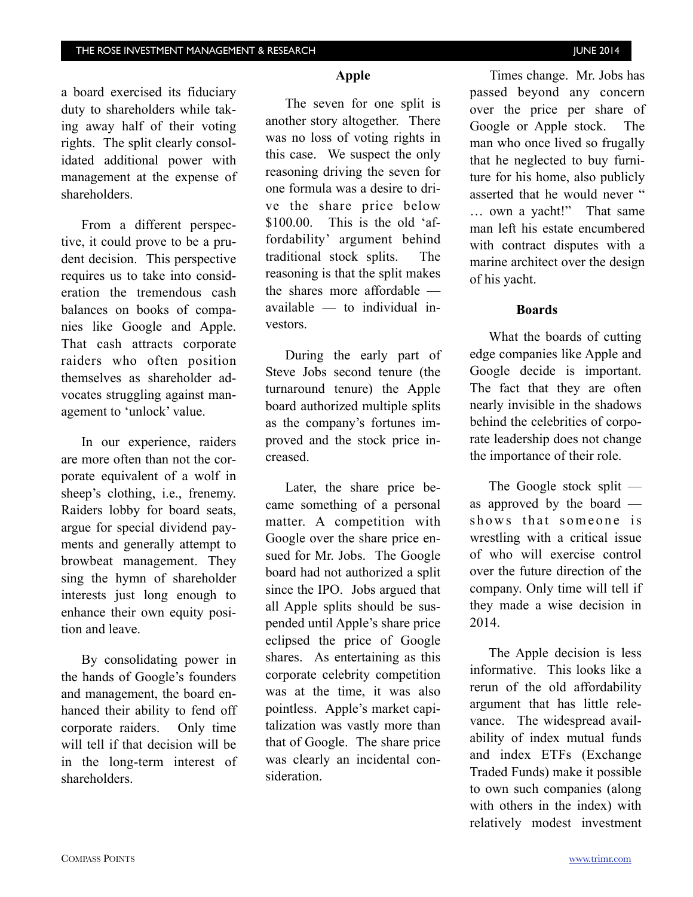a board exercised its fiduciary duty to shareholders while taking away half of their voting rights. The split clearly consolidated additional power with management at the expense of shareholders.

From a different perspective, it could prove to be a prudent decision. This perspective requires us to take into consideration the tremendous cash balances on books of companies like Google and Apple. That cash attracts corporate raiders who often position themselves as shareholder advocates struggling against management to 'unlock' value.

In our experience, raiders are more often than not the corporate equivalent of a wolf in sheep's clothing, i.e., frenemy. Raiders lobby for board seats, argue for special dividend payments and generally attempt to browbeat management. They sing the hymn of shareholder interests just long enough to enhance their own equity position and leave.

By consolidating power in the hands of Google's founders and management, the board enhanced their ability to fend off corporate raiders. Only time will tell if that decision will be in the long-term interest of shareholders.

### **Apple**

The seven for one split is another story altogether. There was no loss of voting rights in this case. We suspect the only reasoning driving the seven for one formula was a desire to drive the share price below \$100.00. This is the old 'affordability' argument behind traditional stock splits. The reasoning is that the split makes the shares more affordable available — to individual investors.

During the early part of Steve Jobs second tenure (the turnaround tenure) the Apple board authorized multiple splits as the company's fortunes improved and the stock price increased.

Later, the share price became something of a personal matter. A competition with Google over the share price ensued for Mr. Jobs. The Google board had not authorized a split since the IPO. Jobs argued that all Apple splits should be suspended until Apple's share price eclipsed the price of Google shares. As entertaining as this corporate celebrity competition was at the time, it was also pointless. Apple's market capitalization was vastly more than that of Google. The share price was clearly an incidental consideration.

Times change. Mr. Jobs has passed beyond any concern over the price per share of Google or Apple stock. The man who once lived so frugally that he neglected to buy furniture for his home, also publicly asserted that he would never " … own a yacht!" That same man left his estate encumbered with contract disputes with a marine architect over the design of his yacht.

#### **Boards**

What the boards of cutting edge companies like Apple and Google decide is important. The fact that they are often nearly invisible in the shadows behind the celebrities of corporate leadership does not change the importance of their role.

The Google stock split as approved by the board shows that someone is wrestling with a critical issue of who will exercise control over the future direction of the company. Only time will tell if they made a wise decision in 2014.

The Apple decision is less informative. This looks like a rerun of the old affordability argument that has little relevance. The widespread availability of index mutual funds and index ETFs (Exchange Traded Funds) make it possible to own such companies (along with others in the index) with relatively modest investment